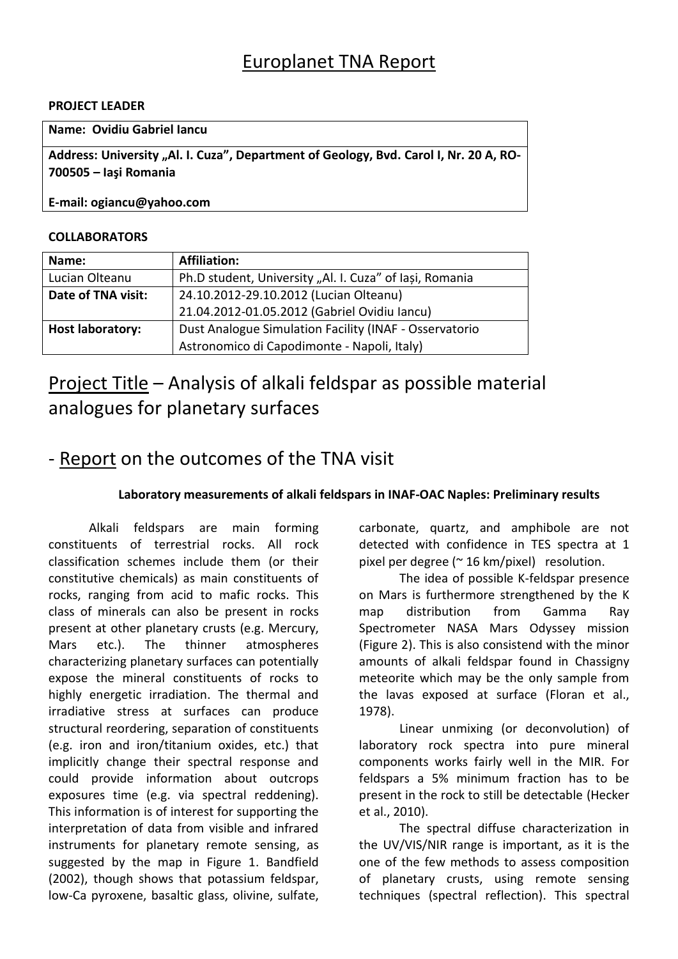## Europlanet TNA Report

### **PROJECT LEADER**

### **Name: Ovidiu Gabriel Iancu**

Address: University "Al. I. Cuza", Department of Geology, Bvd. Carol I, Nr. 20 A, RO-**700505 – Iaşi Romania**

### **E-mail: ogiancu@yahoo.com**

### **COLLABORATORS**

| Name:              | <b>Affiliation:</b>                                     |
|--------------------|---------------------------------------------------------|
| Lucian Olteanu     | Ph.D student, University "Al. I. Cuza" of Iași, Romania |
| Date of TNA visit: | 24.10.2012-29.10.2012 (Lucian Olteanu)                  |
|                    | 21.04.2012-01.05.2012 (Gabriel Ovidiu Iancu)            |
| Host laboratory:   | Dust Analogue Simulation Facility (INAF - Osservatorio  |
|                    | Astronomico di Capodimonte - Napoli, Italy)             |

# Project Title – Analysis of alkali feldspar as possible material analogues for planetary surfaces

## - Report on the outcomes of the TNA visit

### **Laboratory measurements of alkali feldspars in INAF-OAC Naples: Preliminary results**

Alkali feldspars are main forming constituents of terrestrial rocks. All rock classification schemes include them (or their constitutive chemicals) as main constituents of rocks, ranging from acid to mafic rocks. This class of minerals can also be present in rocks present at other planetary crusts (e.g. Mercury, Mars etc.). The thinner atmospheres characterizing planetary surfaces can potentially expose the mineral constituents of rocks to highly energetic irradiation. The thermal and irradiative stress at surfaces can produce structural reordering, separation of constituents (e.g. iron and iron/titanium oxides, etc.) that implicitly change their spectral response and could provide information about outcrops exposures time (e.g. via spectral reddening). This information is of interest for supporting the interpretation of data from visible and infrared instruments for planetary remote sensing, as suggested by the map in Figure 1. Bandfield [\(2002\)](#page-2-0), though shows that potassium feldspar, low-Ca pyroxene, basaltic glass, olivine, sulfate,

carbonate, quartz, and amphibole are not detected with confidence in TES spectra at 1 pixel per degree (~ 16 km/pixel) resolution.

The idea of possible K-feldspar presence on Mars is furthermore strengthened by the K map distribution from Gamma Ray Spectrometer NASA Mars Odyssey mission (Figure 2). This is also consistend with the minor amounts of alkali feldspar found in Chassigny meteorite which may be the only sample from the lavas exposed at surface [\(Floran et al.,](#page-3-0)  [1978\)](#page-3-0).

Linear unmixing (or deconvolution) of laboratory rock spectra into pure mineral components works fairly well in the MIR. For feldspars a 5% minimum fraction has to be present in the rock to still be detectable [\(Hecker](#page-3-1)  [et al., 2010\)](#page-3-1).

The spectral diffuse characterization in the UV/VIS/NIR range is important, as it is the one of the few methods to assess composition of planetary crusts, using remote sensing techniques (spectral reflection). This spectral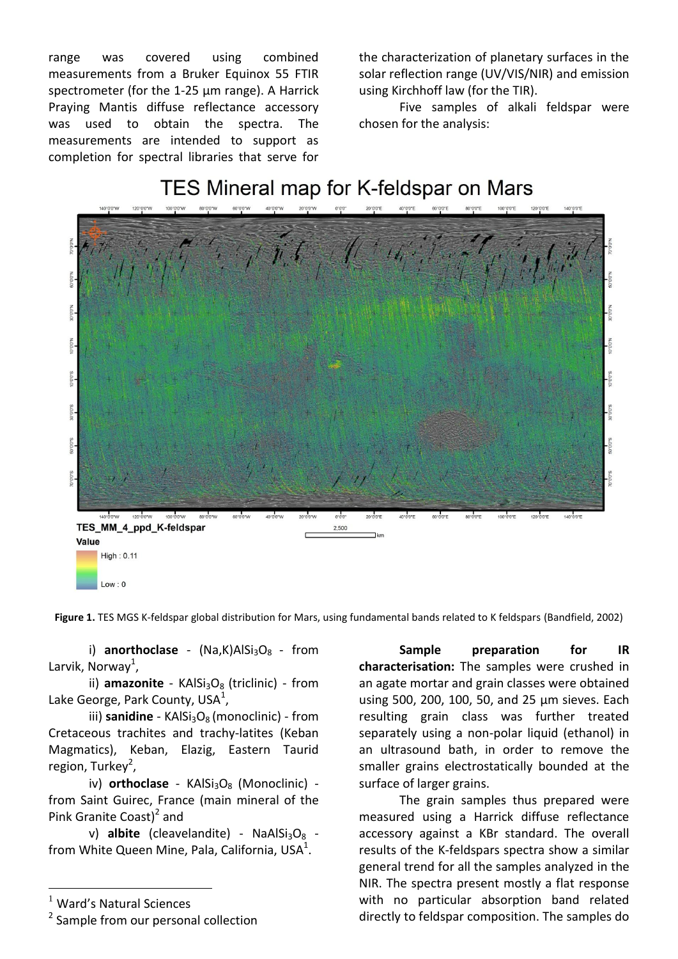range was covered using combined measurements from a Bruker Equinox 55 FTIR spectrometer (for the 1-25 μm range). A Harrick Praying Mantis diffuse reflectance accessory was used to obtain the spectra. The measurements are intended to support as completion for spectral libraries that serve for

the characterization of planetary surfaces in the solar reflection range (UV/VIS/NIR) and emission using Kirchhoff law (for the TIR).

Five samples of alkali feldspar were chosen for the analysis:



**Figure 1.** TES MGS K-feldspar global distribution for Mars, using fundamental bands related to K feldspars [\(Bandfield, 2002\)](#page-2-0)

i) **anorthoclase** - (Na,K)AlSi<sub>3</sub>O<sub>8</sub> - from Larvik, Norway<sup>1</sup>,

ii) **amazonite** - KAlSi<sub>3</sub>O<sub>8</sub> (triclinic) - from Lake George, Park County, USA $^1$ ,

iii) **sanidine** - KAlSi<sub>3</sub>O<sub>8</sub> (monoclinic) - from Cretaceous trachites and trachy-latites (Keban Magmatics), Keban, Elazig, Eastern Taurid region, Turkey<sup>2</sup>,

iv) **orthoclase** - KAlSi<sub>3</sub>O<sub>8</sub> (Monoclinic) from Saint Guirec, France (main mineral of the Pink Granite Coast)<sup>2</sup> and

v) **albite** (cleavelandite) - NaAlSi<sub>3</sub>O<sub>8</sub> from White Queen Mine, Pala, California, USA $^1$ .

 $\overline{a}$ 

**Sample preparation for IR characterisation:** The samples were crushed in an agate mortar and grain classes were obtained using 500, 200, 100, 50, and 25 µm sieves. Each resulting grain class was further treated separately using a non-polar liquid (ethanol) in an ultrasound bath, in order to remove the smaller grains electrostatically bounded at the surface of larger grains.

The grain samples thus prepared were measured using a Harrick diffuse reflectance accessory against a KBr standard. The overall results of the K-feldspars spectra show a similar general trend for all the samples analyzed in the NIR. The spectra present mostly a flat response with no particular absorption band related directly to feldspar composition. The samples do

 $<sup>1</sup>$  Ward's Natural Sciences</sup>

<sup>&</sup>lt;sup>2</sup> Sample from our personal collection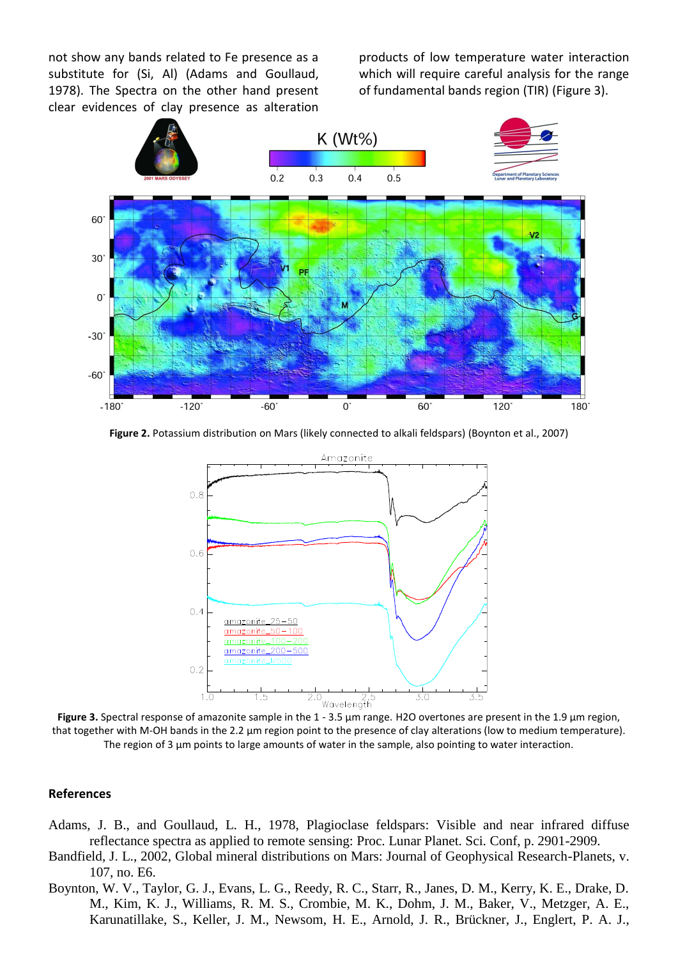not show any bands related to Fe presence as a substitute for (Si, Al) [\(Adams and Goullaud,](#page-2-1)  [1978\)](#page-2-1). The Spectra on the other hand present clear evidences of clay presence as alteration

products of low temperature water interaction which will require careful analysis for the range of fundamental bands region (TIR) (Figure 3).



**Figure 2.** Potassium distribution on Mars (likely connected to alkali feldspars) [\(Boynton et al., 2007\)](#page-2-2)



that together with M-OH bands in the 2.2 µm region point to the presence of clay alterations (low to medium temperature). The region of 3 µm points to large amounts of water in the sample, also pointing to water interaction.

### **References**

- <span id="page-2-1"></span>Adams, J. B., and Goullaud, L. H., 1978, Plagioclase feldspars: Visible and near infrared diffuse reflectance spectra as applied to remote sensing: Proc. Lunar Planet. Sci. Conf, p. 2901-2909.
- <span id="page-2-0"></span>Bandfield, J. L., 2002, Global mineral distributions on Mars: Journal of Geophysical Research-Planets, v. 107, no. E6.
- <span id="page-2-2"></span>Boynton, W. V., Taylor, G. J., Evans, L. G., Reedy, R. C., Starr, R., Janes, D. M., Kerry, K. E., Drake, D. M., Kim, K. J., Williams, R. M. S., Crombie, M. K., Dohm, J. M., Baker, V., Metzger, A. E., Karunatillake, S., Keller, J. M., Newsom, H. E., Arnold, J. R., Brückner, J., Englert, P. A. J.,